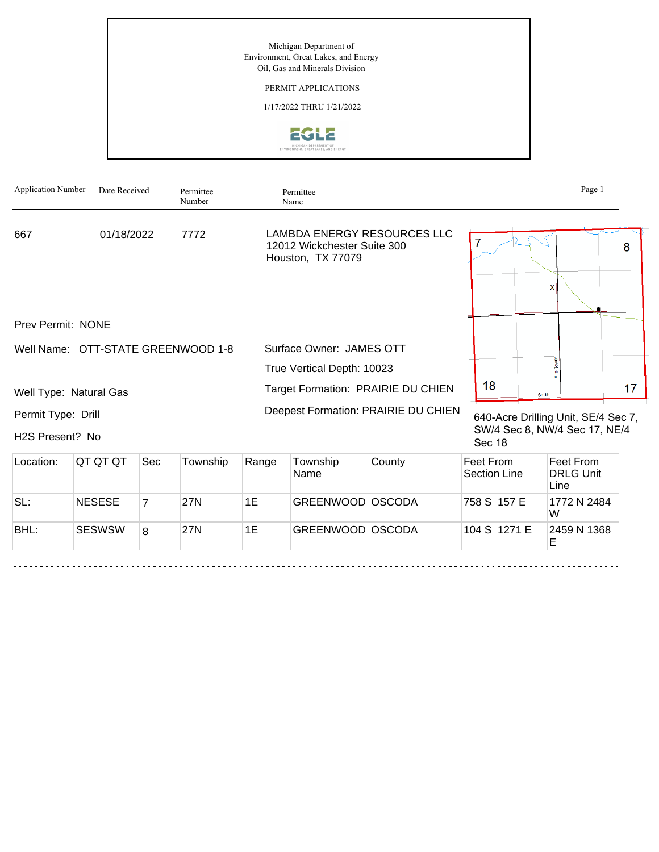Michigan Department of Environment, Great Lakes, and Energy Oil, Gas and Minerals Division

## PERMIT APPLICATIONS

1/17/2022 THRU 1/21/2022



| <b>Application Number</b>             | Date Received |     | Permittee<br>Number |                                     | Permittee<br>Name                                |                             |                                                                                |       | Page 1                  |    |
|---------------------------------------|---------------|-----|---------------------|-------------------------------------|--------------------------------------------------|-----------------------------|--------------------------------------------------------------------------------|-------|-------------------------|----|
| 667                                   | 01/18/2022    |     | 7772                |                                     | 12012 Wickchester Suite 300<br>Houston, TX 77079 | LAMBDA ENERGY RESOURCES LLC |                                                                                |       |                         | 8  |
|                                       |               |     |                     |                                     |                                                  |                             |                                                                                |       | x                       |    |
| Prev Permit: NONE                     |               |     |                     |                                     |                                                  |                             |                                                                                |       |                         |    |
| Well Name: OTT-STATE GREENWOOD 1-8    |               |     |                     |                                     | Surface Owner: JAMES OTT                         |                             |                                                                                |       |                         |    |
|                                       |               |     |                     |                                     | True Vertical Depth: 10023                       |                             |                                                                                |       |                         |    |
| Well Type: Natural Gas                |               |     |                     | Target Formation: PRAIRIE DU CHIEN  |                                                  |                             | 18                                                                             | Smith |                         | 17 |
| Permit Type: Drill<br>H2S Present? No |               |     |                     | Deepest Formation: PRAIRIE DU CHIEN |                                                  |                             | 640-Acre Drilling Unit, SE/4 Sec 7,<br>SW/4 Sec 8, NW/4 Sec 17, NE/4<br>Sec 18 |       |                         |    |
| Location:                             | QT QT QT      | Sec | Township            | Range                               | Township<br>Name                                 | County                      | Feet From<br>Section Line                                                      |       | Feet From<br>DRI G Unit |    |

|      |               |   | .   | .  | 'Name            | Section Line | <b>DRLG Unit</b><br>Line |
|------|---------------|---|-----|----|------------------|--------------|--------------------------|
| SL:  | <b>NESESE</b> |   | 27N | 1E | GREENWOOD OSCODA | 1758 S 157 E | 1772 N 2484<br>W         |
| BHL: | <b>SESWSW</b> | 8 | 27N | 1E | GREENWOOD OSCODA | 104 S 1271 E | 2459 N 1368              |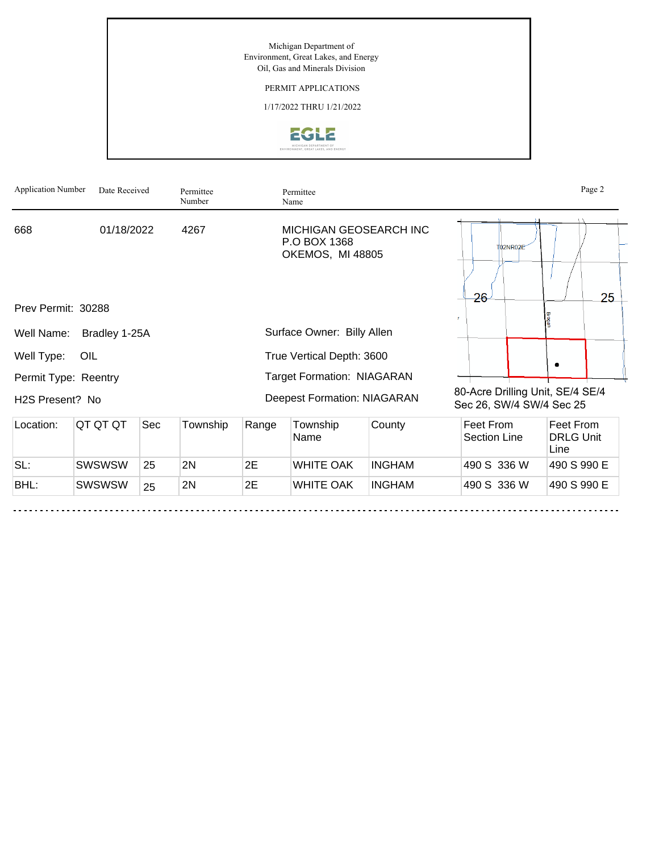Michigan Department of Environment, Great Lakes, and Energy Oil, Gas and Minerals Division

## PERMIT APPLICATIONS

1/17/2022 THRU 1/21/2022



| <b>Application Number</b> | Date Received |     | Permittee<br>Number |       | Permittee<br>Name                                                 |               |                                                              |                                       | Page 2 |
|---------------------------|---------------|-----|---------------------|-------|-------------------------------------------------------------------|---------------|--------------------------------------------------------------|---------------------------------------|--------|
| 668                       | 01/18/2022    |     | 4267                |       | <b>MICHIGAN GEOSEARCH INC</b><br>P.O BOX 1368<br>OKEMOS, MI 48805 |               | T02NR02E                                                     |                                       |        |
|                           |               |     |                     |       |                                                                   |               | 26                                                           |                                       | 25     |
| Prev Permit: 30288        |               |     |                     |       |                                                                   |               | $\mathcal{F}$                                                |                                       |        |
| Well Name:                | Bradley 1-25A |     |                     |       | Surface Owner: Billy Allen                                        |               |                                                              |                                       |        |
| Well Type:                | OIL           |     |                     |       | True Vertical Depth: 3600                                         |               |                                                              |                                       |        |
| Permit Type: Reentry      |               |     |                     |       | <b>Target Formation: NIAGARAN</b>                                 |               |                                                              |                                       |        |
| H2S Present? No           |               |     |                     |       | <b>Deepest Formation: NIAGARAN</b>                                |               | 80-Acre Drilling Unit, SE/4 SE/4<br>Sec 26, SW/4 SW/4 Sec 25 |                                       |        |
| Location:                 | QT QT QT      | Sec | Township            | Range | Township<br>Name                                                  | County        | Feet From<br><b>Section Line</b>                             | Feet From<br><b>DRLG Unit</b><br>Line |        |
| SL:                       | <b>SWSWSW</b> | 25  | 2N                  | 2E    | <b>WHITE OAK</b>                                                  | <b>INGHAM</b> | 490 S 336 W                                                  | 490 S 990 E                           |        |
| BHL:                      | <b>SWSWSW</b> | 25  | 2N                  | 2E    | <b>WHITE OAK</b>                                                  | <b>INGHAM</b> | 490 S 336 W                                                  | 490 S 990 E                           |        |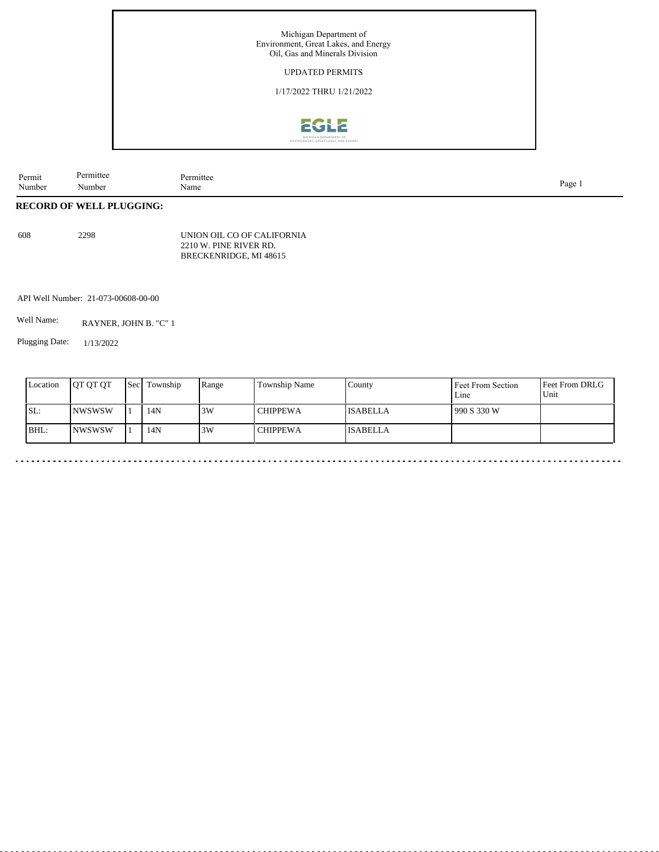

| Permit | Permittee    | Permittee |      |
|--------|--------------|-----------|------|
| Number | $\mathbf{v}$ | Name      | Page |
|        | Number       |           |      |

## **RECORD OF WELL PLUGGING:**

608 2298

UNION OIL CO OF CALIFORNIA 2210 W. PINE RIVER RD. BRECKENRIDGE, MI 48615

API Well Number: 21-073-00608-00-00

Well Name: RAYNER, JOHN B. "C" 1

Plugging Date: 1/13/2022

| SL:<br>14N<br>3W<br>INWSWSW<br>990 S 330 W<br><b>CHIPPEWA</b><br><b>ISABELLA</b><br>BHL:<br>14N<br>3W<br><b>NWSWSW</b><br><b>CHIPPEWA</b><br><b>ISABELLA</b> | Location | <b>OT OT OT</b> | <b>Sec</b> | Township | Range | Township Name | County | Feet From Section<br>Line | Feet From DRLG<br>Unit |
|--------------------------------------------------------------------------------------------------------------------------------------------------------------|----------|-----------------|------------|----------|-------|---------------|--------|---------------------------|------------------------|
|                                                                                                                                                              |          |                 |            |          |       |               |        |                           |                        |
|                                                                                                                                                              |          |                 |            |          |       |               |        |                           |                        |